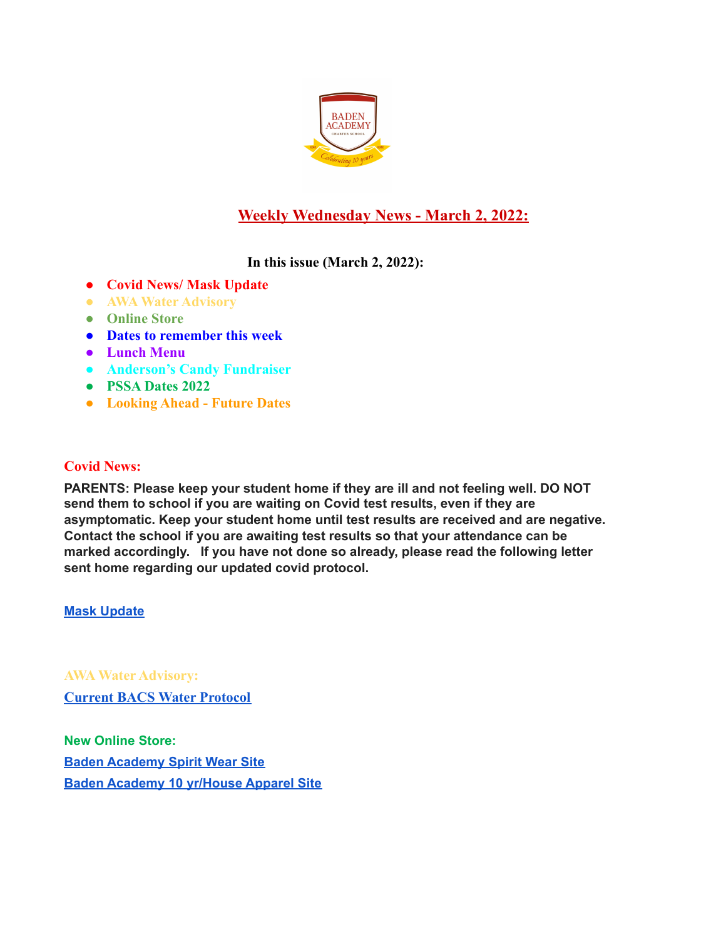

# **Weekly Wednesday News - March 2, 2022:**

# **In this issue (March 2, 2022):**

- **● Covid News/ Mask Update**
- **● AWA Water Advisory**
- **● Online Store**
- **● Dates to remember this week**
- **● Lunch Menu**
- **● Anderson's Candy Fundraiser**
- **● PSSA Dates 2022**
- **● Looking Ahead Future Dates**

# **Covid News:**

**PARENTS: Please keep your student home if they are ill and not feeling well. DO NOT send them to school if you are waiting on Covid test results, even if they are asymptomatic. Keep your student home until test results are received and are negative. Contact the school if you are awaiting test results so that your attendance can be marked accordingly. If you have not done so already, please read the following letter sent home regarding our updated covid protocol.**

**Mask [Update](https://docs.google.com/document/d/1HXZ_taA93HSaUtIpy-WUxU-gH9OkUVmKKIgqFZDMwc8/edit?usp=sharing)**

**AWA Water Advisory:**

**[Current BACS Water Protocol](https://docs.google.com/document/d/1fVPClA5F4kY1O1d-ptJ7CUXW9ScAA6T5yUqeTBMLvgE/edit?usp=sharing)**

**New Online Store: Baden [Academy](https://evillizard.com/collections/baden-academy-spirit-wear) Spirit Wear Site Baden [Academy](https://evillizard.com/collections/baden-academy) 10 yr/House Apparel Site**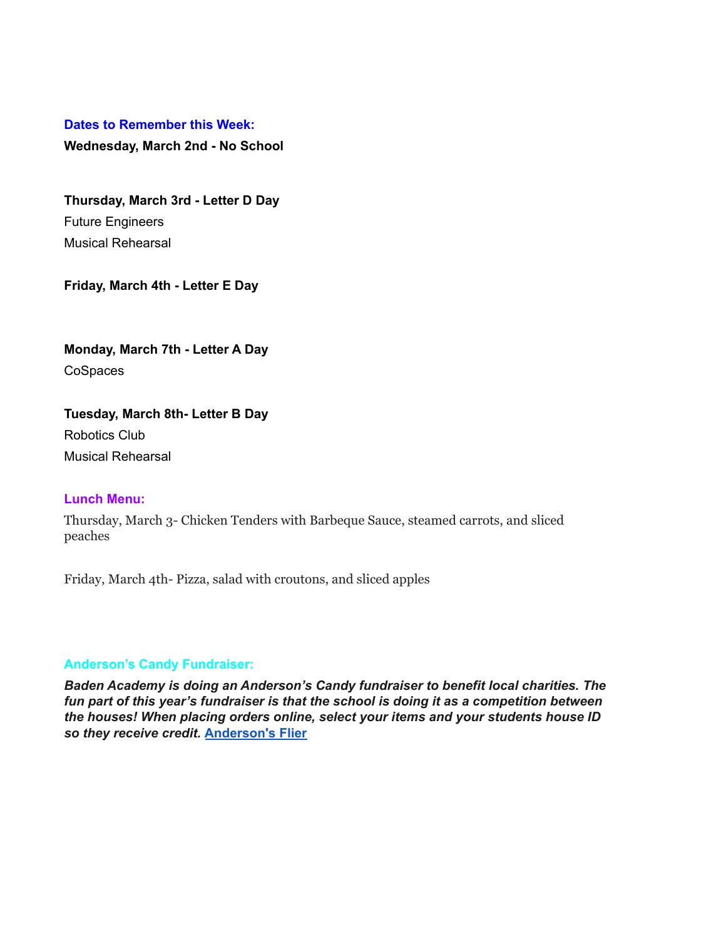#### **Dates to Remember this Week:**

**Wednesday, March 2nd - No School**

**Thursday, March 3rd - Letter D Day** Future Engineers Musical Rehearsal

**Friday, March 4th - Letter E Day**

**Monday, March 7th - Letter A Day** CoSpaces

**Tuesday, March 8th- Letter B Day** Robotics Club Musical Rehearsal

#### **Lunch Menu:**

Thursday, March 3- Chicken Tenders with Barbeque Sauce, steamed carrots, and sliced peaches

Friday, March 4th- Pizza, salad with croutons, and sliced apples

#### **Anderson's Candy Fundraiser:**

*Baden Academy is doing an Anderson's Candy fundraiser to benefit local charities. The fun part of this year's fundraiser is that the school is doing it as a competition between the houses! When placing orders online, select your items and your students house ID so they receive credit.* **[Anderson's](https://docs.google.com/document/d/1yvc2myMqrRNhyYpu0DteMPuBOEUma1BV_21eAD7ljDk/edit?usp=sharing) Flier**